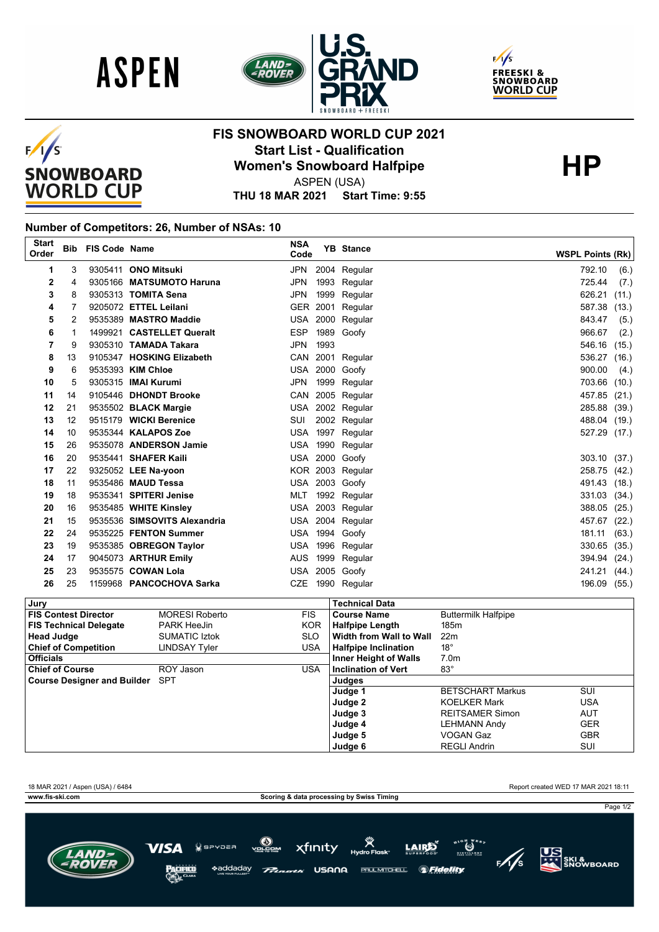





## $F/I/S$ **SNOWBOARD WORLD CUP**

## **FIS SNOWBOARD WORLD CUP 2021 Start List - Qualification HP Women's Snowboard Halfpipe**

ASPEN (USA)

**THU 18 MAR 2021 Start Time: 9:55**

## **Number of Competitors: 26, Number of NSAs: 10**

| <b>Start</b><br>Order |    | <b>Bib FIS Code Name</b> |                              | <b>NSA</b><br>Code |      | <b>YB</b> Stance | <b>WSPL Points (Rk)</b> |
|-----------------------|----|--------------------------|------------------------------|--------------------|------|------------------|-------------------------|
| 1                     | 3  |                          | 9305411 ONO Mitsuki          | JPN                |      | 2004 Regular     | 792.10<br>(6.)          |
| 2                     | 4  |                          | 9305166 MATSUMOTO Haruna     | <b>JPN</b>         |      | 1993 Regular     | 725.44<br>(7.)          |
| 3                     | 8  |                          | 9305313 TOMITA Sena          | JPN                | 1999 | Regular          | 626.21<br>(11.)         |
| 4                     |    |                          | 9205072 ETTEL Leilani        |                    |      | GER 2001 Regular | 587.38<br>(13.)         |
| 5                     | 2  |                          | 9535389 MASTRO Maddie        |                    |      | USA 2000 Regular | 843.47<br>(5.)          |
| 6                     | 1  |                          | 1499921 CASTELLET Queralt    | <b>ESP</b>         |      | 1989 Goofy       | 966.67<br>(2.)          |
| 7                     | 9  |                          | 9305310 TAMADA Takara        | JPN                | 1993 |                  | 546.16<br>(15.)         |
| 8                     | 13 |                          | 9105347 HOSKING Elizabeth    |                    |      | CAN 2001 Regular | 536.27<br>(16.)         |
| 9                     | 6  |                          | 9535393 KIM Chloe            |                    |      | USA 2000 Goofy   | 900.00<br>(4.)          |
| 10                    | 5  |                          | 9305315 <b>IMAI Kurumi</b>   | JPN                |      | 1999 Regular     | 703.66<br>(10.)         |
| 11                    | 14 |                          | 9105446 DHONDT Brooke        |                    |      | CAN 2005 Regular | 457.85 (21.)            |
| 12                    | 21 |                          | 9535502 BLACK Margie         |                    |      | USA 2002 Regular | 285.88<br>(39.)         |
| 13                    | 12 |                          | 9515179 WICKI Berenice       | SUI                |      | 2002 Regular     | 488.04 (19.)            |
| 14                    | 10 |                          | 9535344 KALAPOS Zoe          |                    |      | USA 1997 Regular | 527.29 (17.)            |
| 15                    | 26 |                          | 9535078 ANDERSON Jamie       | USA                |      | 1990 Regular     |                         |
| 16                    | 20 |                          | 9535441 SHAFER Kaili         |                    |      | USA 2000 Goofy   | 303.10 (37.)            |
| 17                    | 22 |                          | 9325052 LEE Na-yoon          |                    |      | KOR 2003 Regular | 258.75 (42.)            |
| 18                    | 11 |                          | 9535486 MAUD Tessa           |                    |      | USA 2003 Goofy   | 491.43<br>(18.)         |
| 19                    | 18 |                          | 9535341 SPITERI Jenise       | MLT                |      | 1992 Regular     | 331.03<br>(34.)         |
| 20                    | 16 |                          | 9535485 WHITE Kinsley        |                    |      | USA 2003 Regular | 388.05<br>(25.)         |
| 21                    | 15 |                          | 9535536 SIMSOVITS Alexandria |                    |      | USA 2004 Regular | 457.67<br>(22.)         |
| 22                    | 24 |                          | 9535225 FENTON Summer        |                    |      | USA 1994 Goofy   | 181.11<br>(63.)         |
| 23                    | 19 |                          | 9535385 OBREGON Taylor       | USA                |      | 1996 Regular     | 330.65<br>(35.)         |
| 24                    | 17 |                          | 9045073 ARTHUR Emily         | <b>AUS</b>         | 1999 | Regular          | 394.94 (24.)            |
| 25                    | 23 |                          | 9535575 COWAN Lola           |                    |      | USA 2005 Goofy   | 241.21<br>(44.)         |
| 26                    | 25 |                          | 1159968 PANCOCHOVA Sarka     | CZE                |      | 1990 Regular     | 196.09<br>(55.)         |

| Jury                                   |                       |            | <b>Technical Data</b>        |                            |            |
|----------------------------------------|-----------------------|------------|------------------------------|----------------------------|------------|
| <b>FIS Contest Director</b>            | <b>MORESI Roberto</b> | <b>FIS</b> | <b>Course Name</b>           | <b>Buttermilk Halfpipe</b> |            |
| <b>FIS Technical Delegate</b>          | <b>PARK HeeJin</b>    | <b>KOR</b> | <b>Halfpipe Length</b>       | 185 <sub>m</sub>           |            |
| <b>Head Judge</b>                      | <b>SUMATIC Iztok</b>  | <b>SLO</b> | Width from Wall to Wall      | 22 <sub>m</sub>            |            |
| <b>Chief of Competition</b>            | LINDSAY Tyler         | USA        | <b>Halfpipe Inclination</b>  | $18^{\circ}$               |            |
| <b>Officials</b>                       |                       |            | <b>Inner Height of Walls</b> | 7.0 <sub>m</sub>           |            |
| <b>Chief of Course</b>                 | ROY Jason             | USA        | <b>Inclination of Vert</b>   | $83^{\circ}$               |            |
| <b>Course Designer and Builder</b> SPT |                       |            | Judges                       |                            |            |
|                                        |                       |            | Judge 1                      | <b>BETSCHART Markus</b>    | SUI        |
|                                        |                       |            | Judge 2                      | <b>KOELKER Mark</b>        | <b>USA</b> |
|                                        |                       |            | Judge 3                      | <b>REITSAMER Simon</b>     | <b>AUT</b> |
|                                        |                       |            | Judge 4                      | LEHMANN Andy               | <b>GER</b> |
|                                        |                       |            | Judge 5                      | <b>VOGAN Gaz</b>           | <b>GBR</b> |
|                                        |                       |            | Judge 6                      | <b>REGLI Andrin</b>        | SUI        |